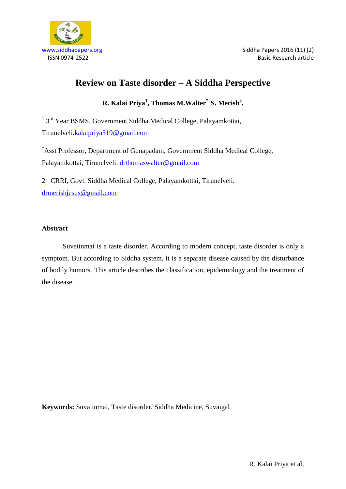

# **Review on Taste disorder – A Siddha Perspective**

**R. Kalai Priya<sup>1</sup> , Thomas M.Walter\* S. Merish<sup>2</sup> .**

<sup>1</sup> 3<sup>rd</sup> Year BSMS, Government Siddha Medical College, Palayamkottai, Tirunelveli[.kalaipriya319@gmail.com](mailto:kalaipriya319@gmail.com)

\*Asst Professor, Department of Gunapadam, Government Siddha Medical College, Palayamkottai, Tirunelveli. [drthomaswalter@gmail.com](mailto:drthomaswalter@gmail.com)

2 CRRI, Govt. Siddha Medical College, Palayamkottai, Tirunelveli. [drmerishjesus@gmail.com](mailto:drmerishjesus@gmail.com)

## **Abstract**

Suvaiinmai is a taste disorder. According to modern concept, taste disorder is only a symptom. But according to Siddha system, it is a separate disease caused by the disturbance of bodily humors. This article describes the classification, epidemiology and the treatment of the disease.

**Keywords:** Suvaiinmai, Taste disorder, Siddha Medicine, Suvaigal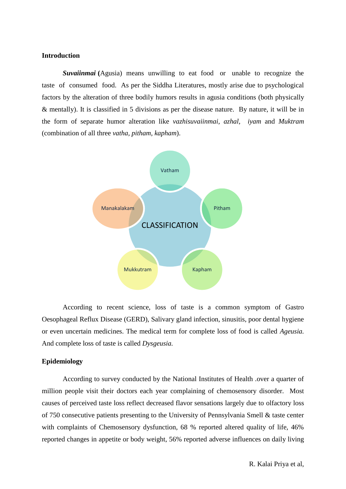## **Introduction**

**Suvaiinmai** (Agusia) means unwilling to eat food or unable to recognize the taste of consumed food. As per the Siddha Literatures, mostly arise due to psychological factors by the alteration of three bodily humors results in agusia conditions (both physically & mentally). It is classified in 5 divisions as per the disease nature. By nature, it will be in the form of separate humor alteration like *vazhisuvaiinmai*, *azhal, iyam* and *Muktram* (combination of all three *vatha, pitham, kapham*).



According to recent science, loss of taste is a common symptom of Gastro Oesophageal Reflux Disease (GERD), Salivary gland infection, sinusitis, poor dental hygiene or even uncertain medicines. The medical term for complete loss of food is called *Ageusia.*  And complete loss of taste is called *Dysgeusia.*

## **Epidemiology**

According to survey conducted by the National Institutes of Health .over a quarter of million people visit their doctors each year complaining of chemosensory disorder. Most causes of perceived taste loss reflect decreased flavor sensations largely due to olfactory loss of 750 consecutive patients presenting to the University of Pennsylvania Smell & taste center with complaints of Chemosensory dysfunction, 68 % reported altered quality of life, 46% reported changes in appetite or body weight, 56% reported adverse influences on daily living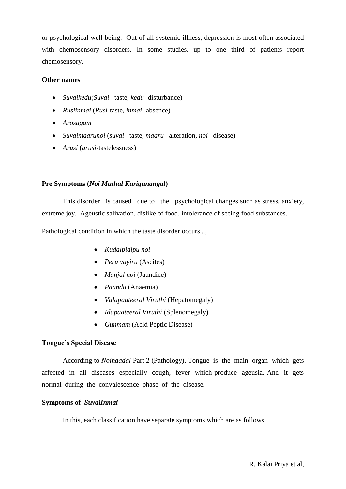or psychological well being. Out of all systemic illness, depression is most often associated with chemosensory disorders. In some studies, up to one third of patients report chemosensory.

## **Other names**

- *Suvaikedu*(*Suvai* taste, *kedu* disturbance)
- *Rusiinmai* (*Rusi-*taste, *inmai-* absence)
- *Arosagam*
- *Suvaimaarunoi* (*suvai –*taste, *maaru –*alteration, *noi –*disease)
- *Arusi* (*arusi-*tastelessness)

## **Pre Symptoms (***Noi Muthal Kurigunangal***)**

This disorder is caused due to the psychological changes such as stress, anxiety, extreme joy. Ageustic salivation, dislike of food, intolerance of seeing food substances.

Pathological condition in which the taste disorder occurs ..,

- *Kudalpidipu noi*
- *Peru vayiru* (Ascites)
- *Manjal noi* (Jaundice)
- *Paandu* (Anaemia)
- *Valapaateeral Viruthi* (Hepatomegaly)
- *Idapaateeral Viruthi* (Splenomegaly)
- *Gunmam* (Acid Peptic Disease)

## **Tongue's Special Disease**

According to *Noinaadal* Part 2 (Pathology), Tongue is the main organ which gets affected in all diseases especially cough, fever which produce ageusia. And it gets normal during the convalescence phase of the disease.

## **Symptoms of** *SuvaiInmai*

In this, each classification have separate symptoms which are as follows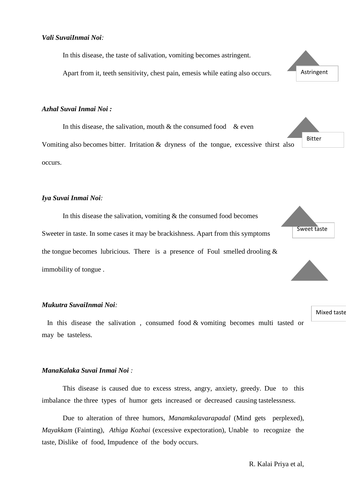In this disease, the taste of salivation, vomiting becomes astringent.

Apart from it, teeth sensitivity, chest pain, emesis while eating also occurs.

## *Azhal Suvai Inmai Noi :*

In this disease, the salivation, mouth  $\&$  the consumed food  $\&$  even Vomiting also becomes bitter. Irritation & dryness of the tongue, excessive thirst also occurs.

## *Iya Suvai Inmai Noi:*

In this disease the salivation, vomiting  $\&$  the consumed food becomes Sweeter in taste. In some cases it may be brackishness. Apart from this symptoms the tongue becomes lubricious. There is a presence of Foul smelled drooling  $\&$ immobility of tongue .

## *Mukutra SuvaiInmai Noi:*

 In this disease the salivation , consumed food & vomiting becomes multi tasted or may be tasteless.

#### *ManaKalaka Suvai Inmai Noi :*

This disease is caused due to excess stress, angry, anxiety, greedy. Due to this imbalance the three types of humor gets increased or decreased causing tastelessness.

Due to alteration of three humors, *Manamkalavarapadal* (Mind gets perplexed), *Mayakkam* (Fainting), *Athiga Kozhai* (excessive expectoration), Unable to recognize the taste, Dislike of food, Impudence of the body occurs.



Bitter



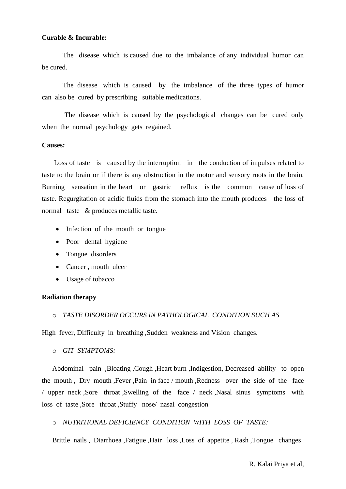#### **Curable & Incurable:**

 The disease which is caused due to the imbalance of any individual humor can be cured.

The disease which is caused by the imbalance of the three types of humor can also be cured by prescribing suitable medications.

The disease which is caused by the psychological changes can be cured only when the normal psychology gets regained.

#### **Causes:**

 Loss of taste is caused by the interruption in the conduction of impulses related to taste to the brain or if there is any obstruction in the motor and sensory roots in the brain. Burning sensation in the heart or gastric reflux is the common cause of loss of taste. Regurgitation of acidic fluids from the stomach into the mouth produces the loss of normal taste & produces metallic taste.

- Infection of the mouth or tongue
- Poor dental hygiene
- Tongue disorders
- Cancer, mouth ulcer
- Usage of tobacco

## **Radiation therapy**

## o *TASTE DISORDER OCCURS IN PATHOLOGICAL CONDITION SUCH AS*

High fever, Difficulty in breathing ,Sudden weakness and Vision changes.

o *GIT SYMPTOMS:*

Abdominal pain ,Bloating ,Cough ,Heart burn ,Indigestion, Decreased ability to open the mouth , Dry mouth ,Fever ,Pain in face / mouth ,Redness over the side of the face / upper neck ,Sore throat ,Swelling of the face / neck ,Nasal sinus symptoms with loss of taste ,Sore throat ,Stuffy nose/ nasal congestion

## o *NUTRITIONAL DEFICIENCY CONDITION WITH LOSS OF TASTE:*

Brittle nails , Diarrhoea ,Fatigue ,Hair loss ,Loss of appetite , Rash ,Tongue changes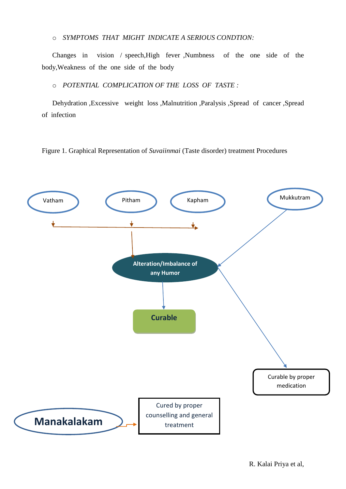o *SYMPTOMS THAT MIGHT INDICATE A SERIOUS CONDTION:*

Changes in vision / speech,High fever ,Numbness of the one side of the body,Weakness of the one side of the body

## o *POTENTIAL COMPLICATION OF THE LOSS OF TASTE :*

Dehydration ,Excessive weight loss ,Malnutrition ,Paralysis ,Spread of cancer ,Spread of infection

Figure 1. Graphical Representation of *Suvaiinmai* (Taste disorder) treatment Procedures

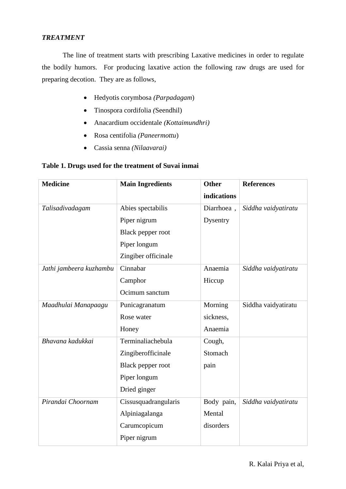## *TREATMENT*

The line of treatment starts with prescribing Laxative medicines in order to regulate the bodily humors. For producing laxative action the following raw drugs are used for preparing decotion. They are as follows,

- Hedyotis corymbosa *(Parpadagam*)
- Tinospora cordifolia *(*Seendhil)
- Anacardium occidentale *(Kottaimundhri)*
- Rosa centifolia *(Paneermottu*)
- Cassia senna *(Nilaavarai)*

# **Table 1. Drugs used for the treatment of Suvai inmai**

| <b>Medicine</b>         | <b>Main Ingredients</b> | <b>Other</b> | <b>References</b>   |
|-------------------------|-------------------------|--------------|---------------------|
|                         |                         | indications  |                     |
| Talisadivadagam         | Abies spectabilis       | Diarrhoea,   | Siddha vaidyatiratu |
|                         | Piper nigrum            | Dysentry     |                     |
|                         | Black pepper root       |              |                     |
|                         | Piper longum            |              |                     |
|                         | Zingiber officinale     |              |                     |
| Jathi jambeera kuzhambu | Cinnabar                | Anaemia      | Siddha vaidyatiratu |
|                         | Camphor                 | Hiccup       |                     |
|                         | Ocimum sanctum          |              |                     |
| Maadhulai Manapaagu     | Punicagranatum          | Morning      | Siddha vaidyatiratu |
|                         | Rose water              | sickness,    |                     |
|                         | Honey                   | Anaemia      |                     |
| Bhavana kadukkai        | Terminaliachebula       | Cough,       |                     |
|                         | Zingiberofficinale      | Stomach      |                     |
|                         | Black pepper root       | pain         |                     |
|                         | Piper longum            |              |                     |
|                         | Dried ginger            |              |                     |
| Pirandai Choornam       | Cissusquadrangularis    | Body pain,   | Siddha vaidyatiratu |
|                         | Alpiniagalanga          | Mental       |                     |
|                         | Carumcopicum            | disorders    |                     |
|                         | Piper nigrum            |              |                     |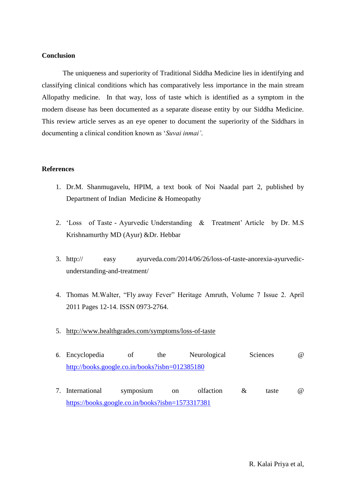## **Conclusion**

The uniqueness and superiority of Traditional Siddha Medicine lies in identifying and classifying clinical conditions which has comparatively less importance in the main stream Allopathy medicine. In that way, loss of taste which is identified as a symptom in the modern disease has been documented as a separate disease entity by our Siddha Medicine. This review article serves as an eye opener to document the superiority of the Siddhars in documenting a clinical condition known as "*Suvai inmai'*.

## **References**

- 1. Dr.M. Shanmugavelu, HPIM, a text book of Noi Naadal part 2, published by Department of Indian Medicine & Homeopathy
- 2. "Loss of Taste Ayurvedic Understanding & Treatment" Article by Dr. M.S Krishnamurthy MD (Ayur) &Dr. Hebbar
- 3. http:// easy ayurveda.com/2014/06/26/loss-of-taste-anorexia-ayurvedicunderstanding-and-treatment/
- 4. Thomas M.Walter, "Fly away Fever" Heritage Amruth, Volume 7 Issue 2. April 2011 Pages 12-14. ISSN 0973-2764.
- 5. <http://www.healthgrades.com/symptoms/loss-of-taste>
- 6. Encyclopedia of the Neurological Sciences @ <http://books.google.co.in/books?isbn=012385180>
- 7. International symposium on olfaction & taste @ <https://books.google.co.in/books?isbn=1573317381>